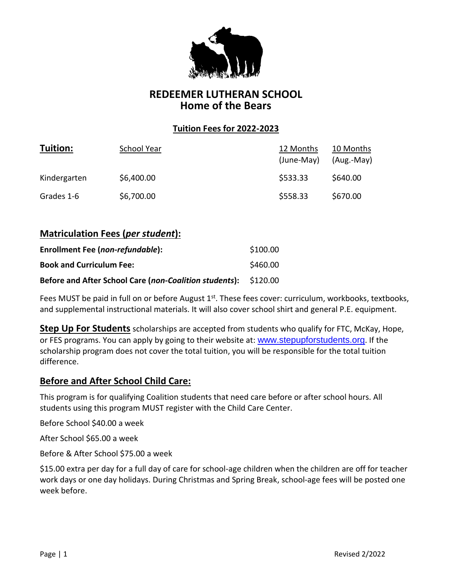

# **REDEEMER LUTHERAN SCHOOL Home of the Bears**

### **Tuition Fees for 2022-2023**

| Tuition:     | School Year | 12 Months<br>(June-May) | 10 Months<br>(Aug.-May) |
|--------------|-------------|-------------------------|-------------------------|
| Kindergarten | \$6,400.00  | \$533.33                | \$640.00                |
| Grades 1-6   | \$6,700.00  | \$558.33                | \$670.00                |

# **Matriculation Fees (***per student***):**

| Enrollment Fee (non-refundable):                                | \$100.00 |
|-----------------------------------------------------------------|----------|
| <b>Book and Curriculum Fee:</b>                                 | \$460.00 |
| Before and After School Care (non-Coalition students): \$120.00 |          |

Fees MUST be paid in full on or before August  $1<sup>st</sup>$ . These fees cover: curriculum, workbooks, textbooks, and supplemental instructional materials. It will also cover school shirt and general P.E. equipment.

**Step Up For Students** scholarships are accepted from students who qualify for FTC, McKay, Hope, or FES programs. You can apply by going to their website at: [www.stepupforstudents.org](http://www.stepupforstudents.org/). If the scholarship program does not cover the total tuition, you will be responsible for the total tuition difference.

### **Before and After School Child Care:**

This program is for qualifying Coalition students that need care before or after school hours. All students using this program MUST register with the Child Care Center.

Before School \$40.00 a week

After School \$65.00 a week

Before & After School \$75.00 a week

\$15.00 extra per day for a full day of care for school-age children when the children are off for teacher work days or one day holidays. During Christmas and Spring Break, school-age fees will be posted one week before.